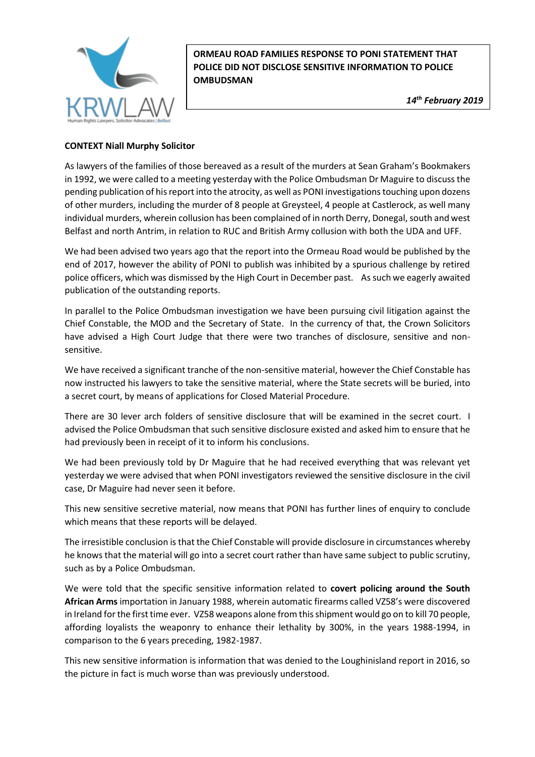

*14th February 2019*

# **CONTEXT Niall Murphy Solicitor**

As lawyers of the families of those bereaved as a result of the murders at Sean Graham's Bookmakers in 1992, we were called to a meeting yesterday with the Police Ombudsman Dr Maguire to discuss the pending publication of his report into the atrocity, as well as PONI investigations touching upon dozens of other murders, including the murder of 8 people at Greysteel, 4 people at Castlerock, as well many individual murders, wherein collusion has been complained of in north Derry, Donegal, south and west Belfast and north Antrim, in relation to RUC and British Army collusion with both the UDA and UFF.

We had been advised two years ago that the report into the Ormeau Road would be published by the end of 2017, however the ability of PONI to publish was inhibited by a spurious challenge by retired police officers, which was dismissed by the High Court in December past. As such we eagerly awaited publication of the outstanding reports.

In parallel to the Police Ombudsman investigation we have been pursuing civil litigation against the Chief Constable, the MOD and the Secretary of State. In the currency of that, the Crown Solicitors have advised a High Court Judge that there were two tranches of disclosure, sensitive and nonsensitive.

We have received a significant tranche of the non-sensitive material, however the Chief Constable has now instructed his lawyers to take the sensitive material, where the State secrets will be buried, into a secret court, by means of applications for Closed Material Procedure.

There are 30 lever arch folders of sensitive disclosure that will be examined in the secret court. I advised the Police Ombudsman that such sensitive disclosure existed and asked him to ensure that he had previously been in receipt of it to inform his conclusions.

We had been previously told by Dr Maguire that he had received everything that was relevant yet yesterday we were advised that when PONI investigators reviewed the sensitive disclosure in the civil case, Dr Maguire had never seen it before.

This new sensitive secretive material, now means that PONI has further lines of enquiry to conclude which means that these reports will be delayed.

The irresistible conclusion is that the Chief Constable will provide disclosure in circumstances whereby he knows that the material will go into a secret court rather than have same subject to public scrutiny, such as by a Police Ombudsman.

We were told that the specific sensitive information related to **covert policing around the South African Arms** importation in January 1988, wherein automatic firearms called VZ58's were discovered in Ireland for the first time ever. VZ58 weapons alone from this shipment would go on to kill 70 people, affording loyalists the weaponry to enhance their lethality by 300%, in the years 1988-1994, in comparison to the 6 years preceding, 1982-1987.

This new sensitive information is information that was denied to the Loughinisland report in 2016, so the picture in fact is much worse than was previously understood.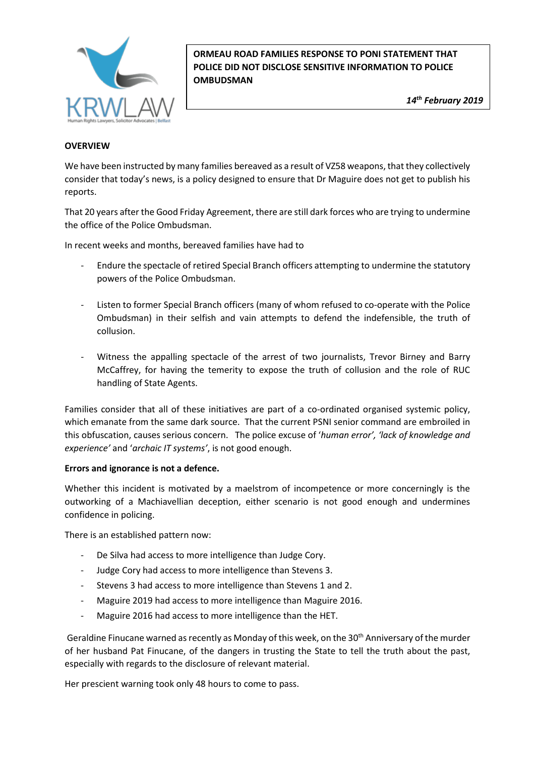

### **OVERVIEW**

We have been instructed by many families bereaved as a result of VZ58 weapons, that they collectively consider that today's news, is a policy designed to ensure that Dr Maguire does not get to publish his reports.

That 20 years after the Good Friday Agreement, there are still dark forces who are trying to undermine the office of the Police Ombudsman.

In recent weeks and months, bereaved families have had to

- Endure the spectacle of retired Special Branch officers attempting to undermine the statutory powers of the Police Ombudsman.
- Listen to former Special Branch officers (many of whom refused to co-operate with the Police Ombudsman) in their selfish and vain attempts to defend the indefensible, the truth of collusion.
- Witness the appalling spectacle of the arrest of two journalists, Trevor Birney and Barry McCaffrey, for having the temerity to expose the truth of collusion and the role of RUC handling of State Agents.

Families consider that all of these initiatives are part of a co-ordinated organised systemic policy, which emanate from the same dark source. That the current PSNI senior command are embroiled in this obfuscation, causes serious concern. The police excuse of '*human error', 'lack of knowledge and experience'* and '*archaic IT systems'*, is not good enough.

#### **Errors and ignorance is not a defence.**

Whether this incident is motivated by a maelstrom of incompetence or more concerningly is the outworking of a Machiavellian deception, either scenario is not good enough and undermines confidence in policing.

There is an established pattern now:

- De Silva had access to more intelligence than Judge Cory.
- Judge Cory had access to more intelligence than Stevens 3.
- Stevens 3 had access to more intelligence than Stevens 1 and 2.
- Maguire 2019 had access to more intelligence than Maguire 2016.
- Maguire 2016 had access to more intelligence than the HET.

Geraldine Finucane warned as recently as Monday of this week, on the 30<sup>th</sup> Anniversary of the murder of her husband Pat Finucane, of the dangers in trusting the State to tell the truth about the past, especially with regards to the disclosure of relevant material.

Her prescient warning took only 48 hours to come to pass.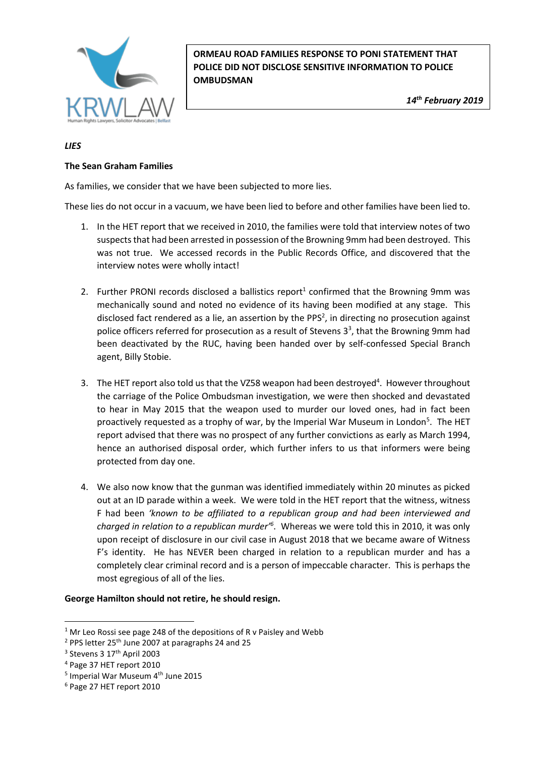

## *LIES*

## **The Sean Graham Families**

As families, we consider that we have been subjected to more lies.

These lies do not occur in a vacuum, we have been lied to before and other families have been lied to.

- 1. In the HET report that we received in 2010, the families were told that interview notes of two suspects that had been arrested in possession of the Browning 9mm had been destroyed. This was not true. We accessed records in the Public Records Office, and discovered that the interview notes were wholly intact!
- 2. Further PRONI records disclosed a ballistics report<sup>1</sup> confirmed that the Browning 9mm was mechanically sound and noted no evidence of its having been modified at any stage. This disclosed fact rendered as a lie, an assertion by the PPS<sup>2</sup>, in directing no prosecution against police officers referred for prosecution as a result of Stevens 3<sup>3</sup>, that the Browning 9mm had been deactivated by the RUC, having been handed over by self-confessed Special Branch agent, Billy Stobie.
- 3. The HET report also told us that the VZ58 weapon had been destroyed<sup>4</sup>. However throughout the carriage of the Police Ombudsman investigation, we were then shocked and devastated to hear in May 2015 that the weapon used to murder our loved ones, had in fact been proactively requested as a trophy of war, by the Imperial War Museum in London<sup>5</sup>. The HET report advised that there was no prospect of any further convictions as early as March 1994, hence an authorised disposal order, which further infers to us that informers were being protected from day one.
- 4. We also now know that the gunman was identified immediately within 20 minutes as picked out at an ID parade within a week. We were told in the HET report that the witness, witness F had been *'known to be affiliated to a republican group and had been interviewed and charged in relation to a republican murder'<sup>6</sup>* . Whereas we were told this in 2010, it was only upon receipt of disclosure in our civil case in August 2018 that we became aware of Witness F's identity. He has NEVER been charged in relation to a republican murder and has a completely clear criminal record and is a person of impeccable character. This is perhaps the most egregious of all of the lies.

#### **George Hamilton should not retire, he should resign.**

**.** 

<sup>&</sup>lt;sup>1</sup> Mr Leo Rossi see page 248 of the depositions of R v Paisley and Webb

<sup>&</sup>lt;sup>2</sup> PPS letter 25<sup>th</sup> June 2007 at paragraphs 24 and 25

<sup>&</sup>lt;sup>3</sup> Stevens 3 17<sup>th</sup> April 2003

<sup>4</sup> Page 37 HET report 2010

<sup>&</sup>lt;sup>5</sup> Imperial War Museum 4<sup>th</sup> June 2015

<sup>6</sup> Page 27 HET report 2010